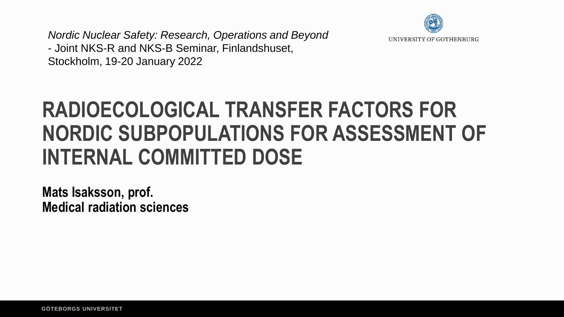*Nordic Nuclear Safety: Research, Operations and Beyond* - Joint NKS-R and NKS-B Seminar, Finlandshuset, Stockholm, 19-20 January 2022



### **RADIOECOLOGICAL TRANSFER FACTORS FOR NORDIC SUBPOPULATIONS FOR ASSESSMENT OF INTERNAL COMMITTED DOSE**

**Mats Isaksson, prof. Medical radiation sciences**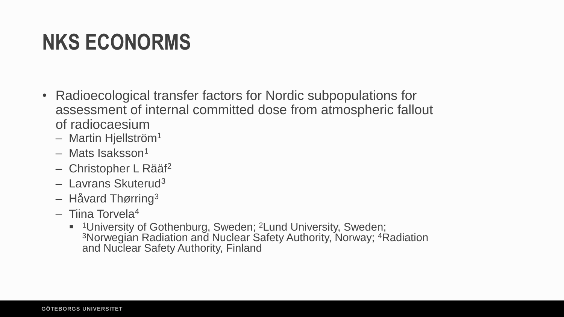## **NKS ECONORMS**

- Radioecological transfer factors for Nordic subpopulations for assessment of internal committed dose from atmospheric fallout of radiocaesium
	- Martin Hjellström<sup>1</sup>
	- $-$  Mats Isaksson<sup>1</sup>
	- Christopher L Rääf<sup>2</sup>
	- Lavrans Skuterud<sup>3</sup>
	- Håvard Thørring<sup>3</sup>
	- $-$  Tiina Torvela<sup>4</sup>
		- **<sup>1</sup>University of Gothenburg, Sweden; <sup>2</sup>Lund University, Sweden;** <sup>3</sup>Norwegian Radiation and Nuclear Safety Authority, Norway; <sup>4</sup>Radiation and Nuclear Safety Authority, Finland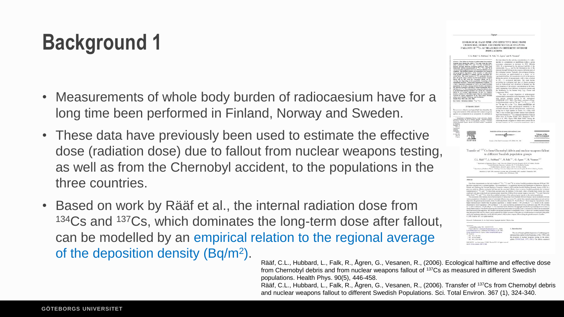## **Background 1**

- Measurements of whole body burden of radiocaesium have for a long time been performed in Finland, Norway and Sweden.
- These data have previously been used to estimate the effective dose (radiation dose) due to fallout from nuclear weapons testing, as well as from the Chernobyl accident, to the populations in the three countries.
- Based on work by Rääf et al., the internal radiation dose from <sup>134</sup>Cs and <sup>137</sup>Cs, which dominates the long-term dose after fallout, can be modelled by an empirical relation to the regional average of the deposition density (Bq/m<sup>2</sup>).



Rääf, C.L., Hubbard, L., Falk, R., Ågren, G., Vesanen, R., (2006). Ecological halftime and effective dose from Chernobyl debris and from nuclear weapons fallout of <sup>137</sup>Cs as measured in different Swedish populations. Health Phys. 90(5), 446-458.

Rääf, C.L., Hubbard, L., Falk, R., Ågren, G., Vesanen, R., (2006). Transfer of <sup>137</sup>Cs from Chernobyl debris and nuclear weapons fallout to different Swedish Populations. Sci. Total Environ. 367 (1), 324-340.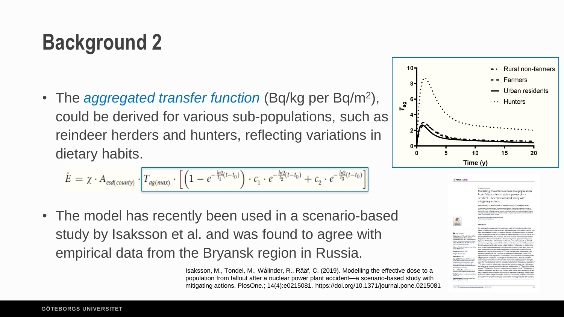## **Background 2**

• The *aggregated transfer function* (Bq/kg per Bq/m<sup>2</sup> ), could be derived for various sub-populations, such as reindeer herders and hunters, reflecting variations in dietary habits.

$$
\dot{E} = \chi \cdot A_{esd(county)} \cdot \left[ T_{ag(max)} \cdot \left[ \left( 1 - e^{-\frac{ln2}{t_1}(t-t_0)} \right) \cdot c_1 \cdot e^{-\frac{ln2}{t_2}(t-t_0)} + c_2 \cdot e^{-\frac{ln2}{t_3}(t-t_0)} \right] \right]
$$

• The model has recently been used in a scenario-based study by Isaksson et al. and was found to agree with empirical data from the Bryansk region in Russia.

> Isaksson, M., Tondel, M., Wålinder, R., Rääf, C. (2019). Modelling the effective dose to a population from fallout after a nuclear power plant accident—a scenario-based study with mitigating actions. PlosOne.; 14(4):e0215081. https://doi.org/10.1371/journal.pone.0215081



|                                                                                                                                                                                                                                      | RESERVED FAREFIELD                                                                                                                                                                                                                                                                                                                                                                                                                                                                  |
|--------------------------------------------------------------------------------------------------------------------------------------------------------------------------------------------------------------------------------------|-------------------------------------------------------------------------------------------------------------------------------------------------------------------------------------------------------------------------------------------------------------------------------------------------------------------------------------------------------------------------------------------------------------------------------------------------------------------------------------|
|                                                                                                                                                                                                                                      | Modelling the effective dose to a population                                                                                                                                                                                                                                                                                                                                                                                                                                        |
|                                                                                                                                                                                                                                      | from fallout after a nuclear power plant                                                                                                                                                                                                                                                                                                                                                                                                                                            |
|                                                                                                                                                                                                                                      | accident-A scenario-based study with                                                                                                                                                                                                                                                                                                                                                                                                                                                |
|                                                                                                                                                                                                                                      | mitigating actions                                                                                                                                                                                                                                                                                                                                                                                                                                                                  |
|                                                                                                                                                                                                                                      |                                                                                                                                                                                                                                                                                                                                                                                                                                                                                     |
|                                                                                                                                                                                                                                      | Mate Institute et n <sup>24</sup> - Martin Torolo <sup>634</sup> , Dobort Waldrates 1 <sup>034</sup> , Christmator 1030 <sup>64</sup>                                                                                                                                                                                                                                                                                                                                               |
|                                                                                                                                                                                                                                      | 5 Elegantman of Faciliation Physics, Incidents of Clinical Sciences; Italia persists Analisms; University of<br>Gotherburg, Gotherrburg, Swedon, J. Conspellensi and Environmental Medicine, Department etiliscipal<br>Sciences, University of Logicals, Uppeals, Geoder, & Occupational and Croiconmental Medicine, Uppeals<br>University Hospital, Elevando, Sweden, & Medical Radiation Physics, Dana Interior of Translations Marketers.<br>Malmi, Lunchinkeenko Modern, Sweden |
|                                                                                                                                                                                                                                      | Chess author, contraded excellent floorests.<br>Forally instrument Monathet, can win                                                                                                                                                                                                                                                                                                                                                                                                |
| <b>Barriot</b><br><b>Updates</b>                                                                                                                                                                                                     | Abstract                                                                                                                                                                                                                                                                                                                                                                                                                                                                            |
|                                                                                                                                                                                                                                      | The redictorizal comprisement of a nonlearness rate (1977) accident resultance for<br>intease of radionsolates to the emirostreed, will dependiarpsly on the mitgating actions insti-                                                                                                                                                                                                                                                                                               |
| <b>Greenwork</b>                                                                                                                                                                                                                     | geted shortly when the accident. It is therefore important to make predictions of the radiation<br>dosato the affected population, from external as well as internal exposure, poor after an acci-                                                                                                                                                                                                                                                                                  |
| States baroon M. Society, Milesto R. Paint                                                                                                                                                                                           | don't, desaite the fact that data are scored. The aim of this study was to develop a model for                                                                                                                                                                                                                                                                                                                                                                                      |
| C (2019). Modeling the effective state to a<br>population hamilated after a nativar power plant.                                                                                                                                     | the prediction of the curredative effective does up to fell years of age based on the pround                                                                                                                                                                                                                                                                                                                                                                                        |
| analyst-Asianalystand Extradt Infrastru<br>adoni, Push (NE 14-6) 4011691 14-4-154.                                                                                                                                                   | deposition of <sup>198</sup> Cs; that is determined spon after fabruit. The model agrospits for different<br>as a credor is not a third and credor of internal drive contributions, and the model except days in                                                                                                                                                                                                                                                                    |
| ANYIE LETTERATUR MAN GETERE                                                                                                                                                                                                          | Fel duty were chosen to reflect various mitrasting actions. Furthermore, the rotative impor-                                                                                                                                                                                                                                                                                                                                                                                        |
| <b>SEN</b> : Arth Lange Melville (Convertible)<br>Gune UNITERCOCK                                                                                                                                                                    | lance of these parameters was determined by senaty by analysis. To the best of our lingwi-                                                                                                                                                                                                                                                                                                                                                                                          |
| <b>Brighton Business IV, 2010</b>                                                                                                                                                                                                    | what this model is unique as it allows quantification of both the external and the internal<br>effection time university a fallout map of <sup>197</sup> Cs after a reclinar conversiont accident. The                                                                                                                                                                                                                                                                              |
| <b>Noving Hurrick 3019</b>                                                                                                                                                                                                           | pursualities of both will go over a particular (ii) was a following the accident per with 117 Ca.                                                                                                                                                                                                                                                                                                                                                                                   |
| <b>Ballistan locals Virtu</b>                                                                                                                                                                                                        | Spokkel was found to range from 0.14 mB/ABg m <sup>-1</sup> to 1.5 mB/ABg m <sup>-2</sup> , depending on the<br>miligating actions undertaken. According to the sensitivity analysis, the most important                                                                                                                                                                                                                                                                            |
| Georgie 631110 season dul Thickenson.<br>access which distributed probettle home of the<br>Darby Several Attitudes Science which<br>peride unrestricted you, distribution, and<br>reproduction in one readium, provided the original | porteries governing the curriculation of active does to various adult populations during 50<br>years after the take a spear to be the convision factor between the local areal deposition of<br><sup>157</sup> Co and the maximum initial antitient dose note: the maximum transfer from regional aver-                                                                                                                                                                             |
| what we want as partial.                                                                                                                                                                                                             | age falliat on the ground to body busine: the local areal deposition of <sup>197</sup> Cs; and the regional<br>avenue <sup>198</sup> Os deposition. Therefore, it is important that magping of local <sup>198</sup> Os deposition is                                                                                                                                                                                                                                                |
| <b>Dris Australian Sylvenet, All minual datum</b><br>who he have a lit and is supported face! No                                                                                                                                     | carried out immediately after fallout from a nuclear power plant accident, tollowed by calcula-<br>fices of safation dopes for different secondors using well-impure parameters. In order to iden-                                                                                                                                                                                                                                                                                  |
| <b>Reday To advertising score &amp; holes</b>                                                                                                                                                                                        | By the mixel efficient initiation studeales. Since I'ds  ""Ca mapping, we believe our model to                                                                                                                                                                                                                                                                                                                                                                                      |
| <b>Britis and</b><br>Geografing Interesting The polluon have declared                                                                                                                                                                | a valuable loof for lang-texts radiological assessment in the early phase after NPP accidents.                                                                                                                                                                                                                                                                                                                                                                                      |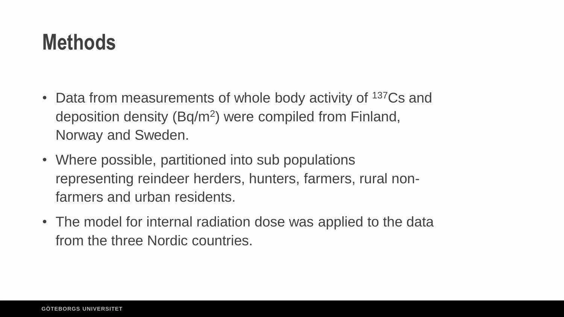### **Methods**

- Data from measurements of whole body activity of <sup>137</sup>Cs and deposition density (Bq/m<sup>2</sup> ) were compiled from Finland, Norway and Sweden.
- Where possible, partitioned into sub populations representing reindeer herders, hunters, farmers, rural nonfarmers and urban residents.
- The model for internal radiation dose was applied to the data from the three Nordic countries.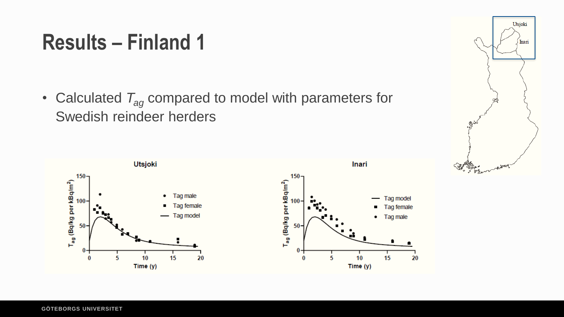### **Results – Finland 1**

• Calculated *Tag* compared to model with parameters for Swedish reindeer herders



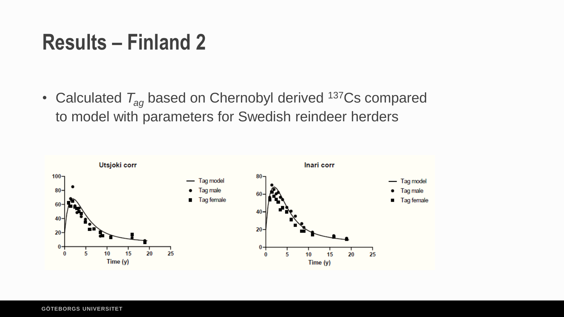### **Results – Finland 2**

• Calculated  $T_{ag}$  based on Chernobyl derived <sup>137</sup>Cs compared to model with parameters for Swedish reindeer herders

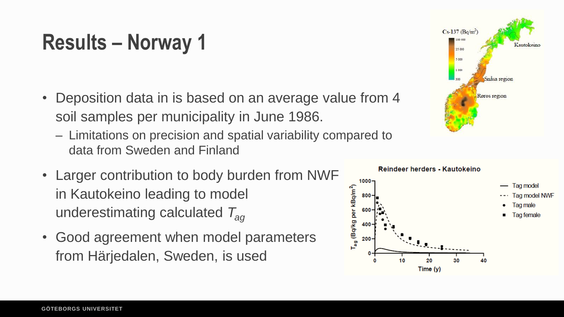### **Results – Norway 1**

- Deposition data in is based on an average value from 4 soil samples per municipality in June 1986.
	- Limitations on precision and spatial variability compared to data from Sweden and Finland
- Larger contribution to body burden from NWF in Kautokeino leading to model underestimating calculated *Tag*
- Good agreement when model parameters from Härjedalen, Sweden, is used



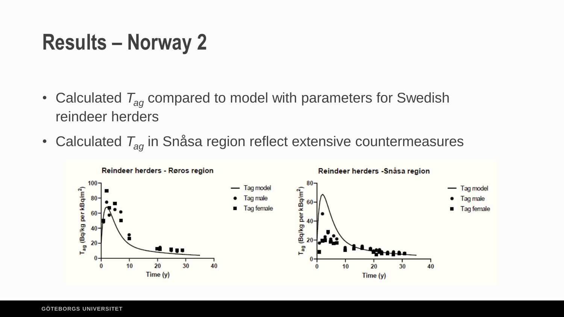### **Results – Norway 2**

- Calculated  $T_{\text{a}q}$  compared to model with parameters for Swedish reindeer herders
- Calculated *Tag* in Snåsa region reflect extensive countermeasures

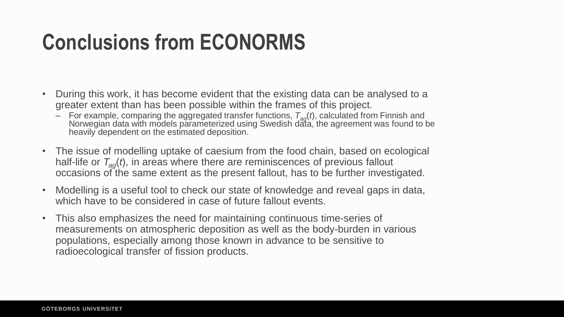## **Conclusions from ECONORMS**

- During this work, it has become evident that the existing data can be analysed to a greater extent than has been possible within the frames of this project.
	- For example, comparing the aggregated transfer functions, *Tag*(*t*), calculated from Finnish and Norwegian data with models parameterized using Swedish data, the agreement was found to be heavily dependent on the estimated deposition.
- The issue of modelling uptake of caesium from the food chain, based on ecological half-life or *Tag*(*t*), in areas where there are reminiscences of previous fallout occasions of the same extent as the present fallout, has to be further investigated.
- Modelling is a useful tool to check our state of knowledge and reveal gaps in data, which have to be considered in case of future fallout events.
- This also emphasizes the need for maintaining continuous time-series of measurements on atmospheric deposition as well as the body-burden in various populations, especially among those known in advance to be sensitive to radioecological transfer of fission products.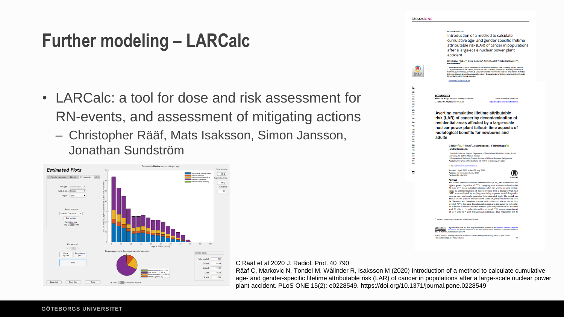- LARCalc: a tool for dose and risk assessment for RN-events, and assessment of mitigating actions
	- Christopher Rääf, Mats Isaksson, Simon Jansson, Jonathan Sundström



### cumulative age- and gender-specific lifetime attributable risk (LAR) of cancer in populations after a large-scale nuclear power plant accident Christopher Rääf@<sup>1+</sup>, Nikola Markovic<sup>2</sup>, Martin Tondel<sup>2,4</sup>, Robert Wallnder@<sup>34</sup>, Mats Isaksson 1 Medical Radiation Physics, Department of Translational Medicine, Lund University, Malmö, Swede 1 Merstar Hastenser Pryson, Unipersment or Isansascher Merstare, Lund University, Manno, Jewesen, 2014<br>2 Department of Radiation physics, Institute of Clinical Sciences, Sahlgamska Academy University of<br>Gothenburg, Gothenb \* christopher.cad@med.lu.se City<br>R, b **OPEN ACCESS TOP Publishing | Society for Redelegical Pretection** Journal of Radiological Pro Forder, Ped. 40 (2020) 700-814 (25mm) Miscolar anno soprattuta Averting cumulative lifetime attributable risk (LAR) of cancer by decontamination of residential areas affected by a large-scale nuclear power plant fallout: time aspects of radiological benefits for newborns and adults C Rääf<sup>1,3</sup><sup>®</sup>, R Finck<sup>1</sup>, J Martinsson<sup>1</sup>, Y Hinrichsen<sup>1</sup><sup>®</sup> and M Isaksson  $^1$  Medical Radiation Physics, Department of Translational Medicine, Malmö, Lund University, SE-205 02 Malmö, Sweden enveasay, an-zoo eo amano, aween<br>? Department of Radiation Physics, Institute of Clinical Sciences, Sabigrenska<br>Academy, University of Gothenburg, SI:-413 45 Gothenburg, Sweden E-mail: christopher.raaf@med.lu.se Received 1 April 2020; revised 29 May 2020 Q  $\overline{\phantom{a}}$ Accepted for publication 3 June 2020 The market completive lifetime attributable risk (LAD), the maideal does ned highest ground deposition of <sup>137</sup>Cs complying with a reference dose level of 20 mSv yr<sup>-1</sup> to an individual returning after one year to an area contaminated by unfiltered releases of fission products from a nuclear power plant (NPP) were evaluated by applying an existing exposure model designed to compute age- and gender-dependent time-integrated LAR. The model was applied to four types of nuclear fallout scenarios, partly based on data from the Chernobyl and Fukushima releases and from theoretical source terms from Swedish NPPs. For rapid decontamination measures that achieve a 50% relative reduction in external dose rate within 1 year, compliance with the reference level 20 mSy  $yr^{-1}$  can be attained for an initial  $^{122}Cs$  ground deposition of the country  $\mu$  and the analysis of an initial and governous exposures to Author to whom any correspondence should be addressed. (C) Contained Contains from this work may be used under the terms of the Creative Commons Attribution<br>tife of the work, Journal citation and DOL<br>tife of the work, journal citation and DOL @ 2020 Society for Radiological Protection. Published on behalf of SRP by IOP Publishing Limited. All rights reserve 48820425833.00 Phitfod in the UK

C Rääf et al 2020 J. Radiol. Prot. 40 790

Rääf C, Markovic N, Tondel M, Wålinder R, Isaksson M (2020) Introduction of a method to calculate cumulative age- and gender-specific lifetime attributable risk (LAR) of cancer in populations after a large-scale nuclear power plant accident. PLoS ONE 15(2): e0228549. https://doi.org/10.1371/journal.pone.0228549

**BEREARCH ARTICLE** 

Introduction of a method to calculate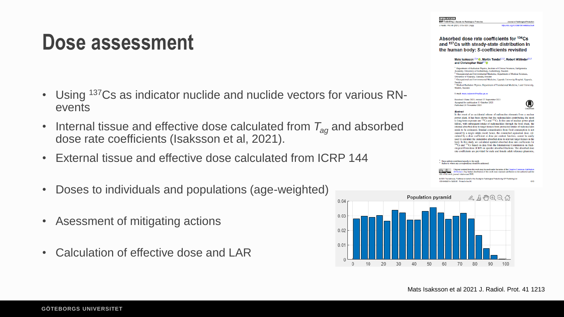### **Dose assessment**

- Using <sup>137</sup>Cs as indicator nuclide and nuclide vectors for various RNevents
- Internal tissue and effective dose calculated from *Tag* and absorbed dose rate coefficients (Isaksson et al, 2021).
- External tissue and effective dose calculated from ICRP 144
- Doses to individuals and populations (age-weighted)
- Asessment of mitigating actions
- Calculation of effective dose and LAR

OSEN ACCESS<br>IOP Publishing | Seciety for Radiological Protection .<br>Radiol. Prot. 41 (2021) 1213-1227 (15pp)

 $\bf \Phi$ 

Absorbed dose rate coefficients for <sup>134</sup>Cs and <sup>137</sup>Cs with steady-state distribution in the human body: S-coefficients revisited

### Mats Isaksson<sup>1,5,4</sup><sup>0</sup>, Martin Tondel<sup>2,3,5</sup>, Robert Wâlinder<sup>2,3,5</sup> and Christopher Rääf<sup>45</sup>®

<sup>1</sup> Department of Radiation Physics, Institute of Clinical Sciences, Sahlgrenska Academy, University of Gothenburg, Gothenburg, Sweden <sup>2</sup> Occupational and Environmental Medicine, Department of Medical Science University of Unnsala Unnsala Sweden <sup>1</sup> Occupational and Environmental Medicine, Uppsala University Hospital, Uppsala, Sweden

<sup>4</sup> Medical Radiation Physics, Department of Translational Medicine, Lund University Malmö, Sweden

### E.mail: mate.inksson@radfyc.eu.ur

Received 4 Jane 2021: revised 27 Sentember 2021 Accepted for publication 11 October 2021 Published 24 November 2021



### **Abstract** In the event of an accidental release of radioactive elements from a nuclear power plant, it has been shown that the radionuclides contributing the most to long-term exposure are <sup>134</sup>Cs and <sup>137</sup>Cs. In the case of nuclear power plant fallout, with subsequent intake of radiomiclides through the food chain, the internal absorbed dose to target tissues from protracted intake of radionuclides needs to be estimated. Internal contamination from food consumption is not caused by a single intake event; hence, the committed equivalent dose, calculated by a dose coefficient or dose not content function, cannot be easily used to calculate the cumulative absorbed dose to relevant tareet tissues in the body. In this study, we calculated updated absorbed dose rate coefficients for <sup>134</sup>Cs and <sup>137</sup>Cs based on data from the International Commission on Radiological Protection (ICRP) on specific absorbed fractions. The absorbed dose rate coefficients are provided for male and female adult reference phantoms.

<sup>5</sup> These authors contributed equally to this work.<br>\* Author to whom any correspondence should be addressed.

Original content from this work may be used under the terms of the Crea **CO** O Original content from this<br> **10** between the start formal citation and DOI O licence. Any further distribution of this work must maintain attribution to the author(s) and the

@ 2021 The Author(s). Published on behalf of the Society for Radiological Protection by ICP Publishing Lt 1361-6438/21/+15833.00 Printed in the UK

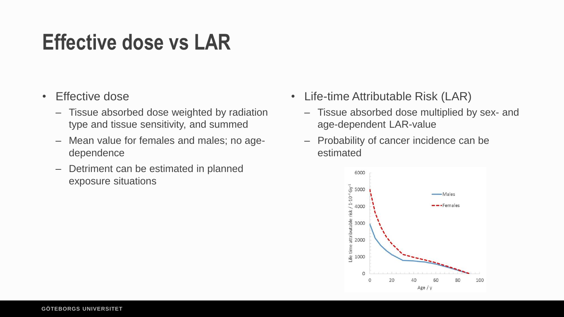### **Effective dose vs LAR**

- Effective dose
	- Tissue absorbed dose weighted by radiation type and tissue sensitivity, and summed
	- Mean value for females and males; no agedependence
	- Detriment can be estimated in planned exposure situations
- Life-time Attributable Risk (LAR)
	- Tissue absorbed dose multiplied by sex- and age-dependent LAR-value
	- Probability of cancer incidence can be estimated

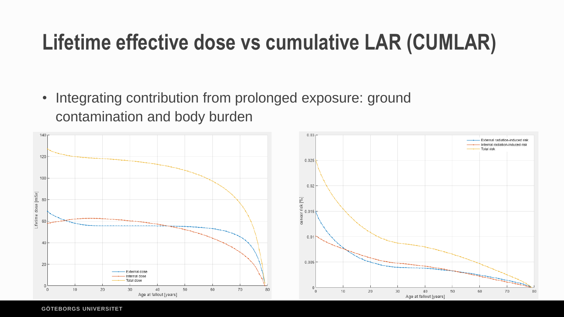### **Lifetime effective dose vs cumulative LAR (CUMLAR)**

• Integrating contribution from prolonged exposure: ground contamination and body burden

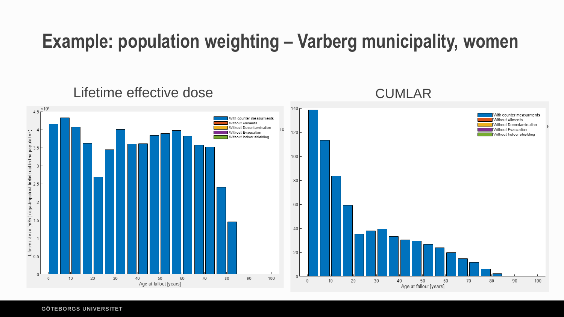### **Example: population weighting – Varberg municipality, women**

### Lifetime effective dose CUMLAR 4.5  $\times$  10<sup>5</sup> 140 lith counter measurments Vith counter measurments /ithout Aliments Vithout Aliments /ithout Decontamination T) ithout Decontamination To /ithout Evacuation Lifetime dose  $\left[\text{mSv}\right]$  (age-impaired individual in the population)<br>  $\frac{1}{52}$ <br>  $\frac{1}{52}$ Vithout Evacuation 120 Vithout Indoor shielding Without Indoor shielding 100 80 60 40 20 0 50 6<br>Age at fallout [years] 100  $\,0\,$  $10$ 20  $30$ 40 60 70  $80$ 90  $\,0\,$  $10$ 20  $30$ 40 50 60 70 80 90 100 Age at fallout [years]

### **GÖTEBORGS UNIVERSITET**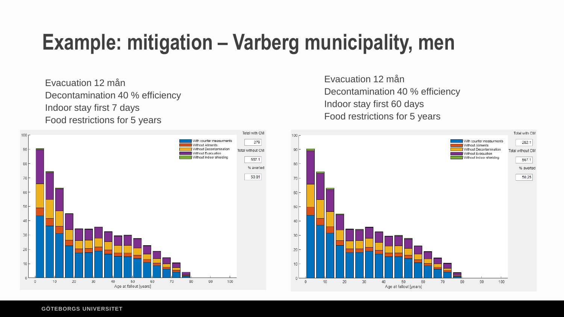### **Example: mitigation – Varberg municipality, men**

Evacuation 12 mån Decontamination 40 % efficiency Indoor stay first 7 days Food restrictions for 5 years



Evacuation 12 mån Decontamination 40 % efficiency Indoor stay first 60 days Food restrictions for 5 years

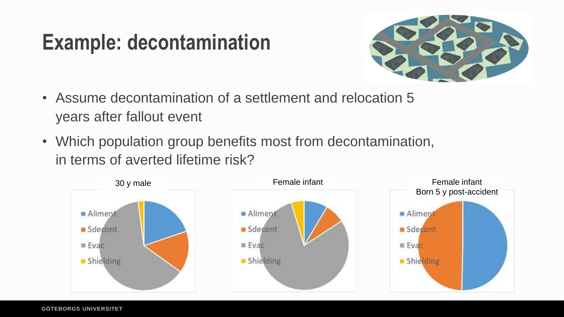### **Example: decontamination**



- Assume decontamination of a settlement and relocation 5 years after fallout event
- Which population group benefits most from decontamination, in terms of averted lifetime risk?

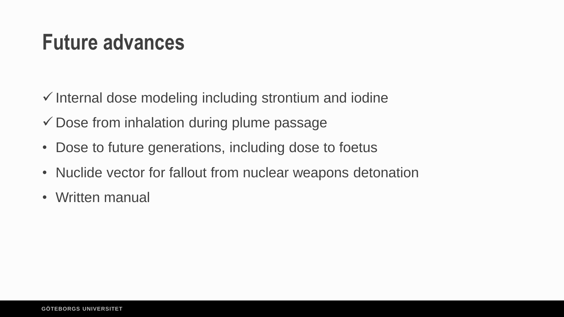### **Future advances**

- $\checkmark$  Internal dose modeling including strontium and iodine
- $\checkmark$  Dose from inhalation during plume passage
- Dose to future generations, including dose to foetus
- Nuclide vector for fallout from nuclear weapons detonation
- Written manual